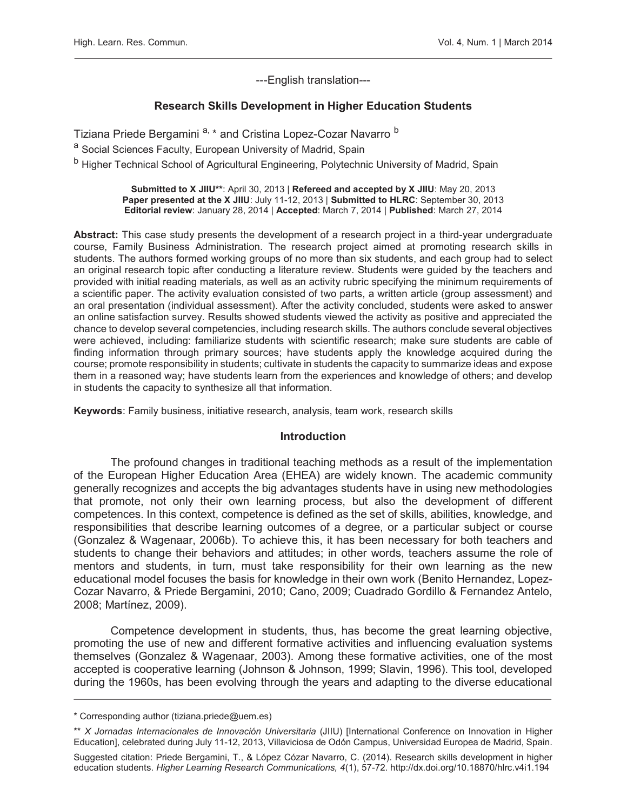---English translation---

## Research Skills Development in Higher Education Students

Tiziana Priede Bergamini <sup>a, \*</sup> and Cristina Lopez-Cozar Navarro <sup>b</sup>

a Social Sciences Faculty, European University of Madrid, Spain

b Higher Technical School of Agricultural Engineering, Polytechnic University of Madrid, Spain

Submitted to X JIIU\*\*: April 30, 2013 | Refereed and accepted by X JIIU: May 20, 2013 Paper presented at the X JIIU: July 11-12, 2013 | Submitted to HLRC: September 30, 2013 Editorial review: January 28, 2014 | Accepted: March 7, 2014 | Published: March 27, 2014

Abstract: This case study presents the development of a research project in a third-year undergraduate course, Family Business Administration. The research project aimed at promoting research skills in students. The authors formed working groups of no more than six students, and each group had to select an original research topic after conducting a literature review. Students were guided by the teachers and provided with initial reading materials, as well as an activity rubric specifying the minimum requirements of a scientific paper. The activity evaluation consisted of two parts, a written article (group assessment) and an oral presentation (individual assessment). After the activity concluded, students were asked to answer an online satisfaction survey. Results showed students viewed the activity as positive and appreciated the chance to develop several competencies, including research skills. The authors conclude several objectives were achieved, including: familiarize students with scientific research; make sure students are cable of finding information through primary sources; have students apply the knowledge acquired during the course; promote responsibility in students; cultivate in students the capacity to summarize ideas and expose them in a reasoned way; have students learn from the experiences and knowledge of others; and develop in students the capacity to synthesize all that information.

Keywords: Family business, initiative research, analysis, team work, research skills

#### Introduction

The profound changes in traditional teaching methods as a result of the implementation of the European Higher Education Area (EHEA) are widely known. The academic community generally recognizes and accepts the big advantages students have in using new methodologies that promote, not only their own learning process, but also the development of different competences. In this context, competence is defined as the set of skills, abilities, knowledge, and responsibilities that describe learning outcomes of a degree, or a particular subject or course (Gonzalez & Wagenaar, 2006b). To achieve this, it has been necessary for both teachers and students to change their behaviors and attitudes; in other words, teachers assume the role of mentors and students, in turn, must take responsibility for their own learning as the new educational model focuses the basis for knowledge in their own work (Benito Hernandez, Lopez-Cozar Navarro, & Priede Bergamini, 2010; Cano, 2009; Cuadrado Gordillo & Fernandez Antelo, 2008; Martínez, 2009).

Competence development in students, thus, has become the great learning objective, promoting the use of new and different formative activities and influencing evaluation systems themselves (Gonzalez & Wagenaar, 2003). Among these formative activities, one of the most accepted is cooperative learning (Johnson & Johnson, 1999; Slavin, 1996). This tool, developed during the 1960s, has been evolving through the years and adapting to the diverse educational

<sup>\*</sup> Corresponding author (tiziana.priede@uem.es)

<sup>\*\*</sup> *X Jornadas Internacionales de Innovación Universitaria* (JIIU) [International Conference on Innovation in Higher Education], celebrated during July 11-12, 2013, Villaviciosa de Odón Campus, Universidad Europea de Madrid, Spain.

Suggested citation: Priede Bergamini, T., & López Cózar Navarro, C. (2014). Research skills development in higher education students. *Higher Learning Research Communications, 4*(1), 57-72. http://dx.doi.org/10.18870/hlrc.v4i1.194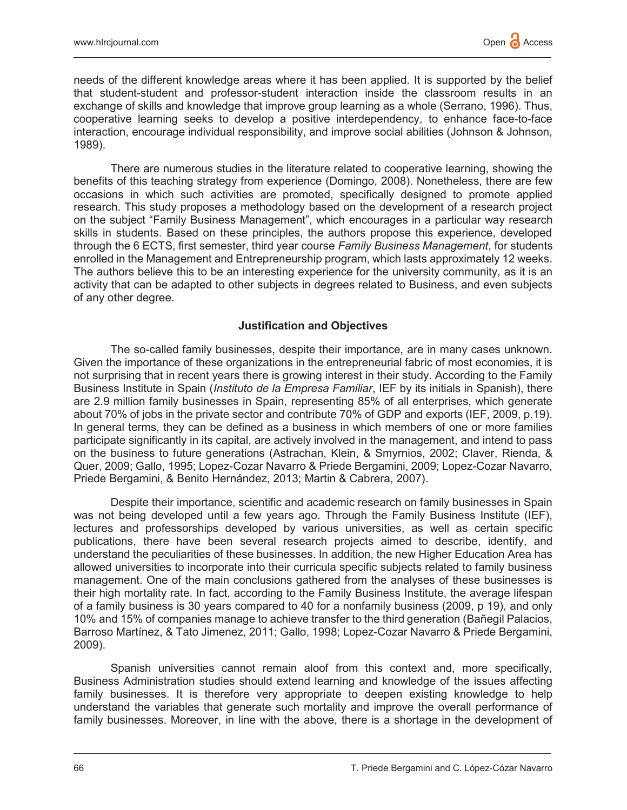needs of the different knowledge areas where it has been applied. It is supported by the belief that student-student and professor-student interaction inside the classroom results in an exchange of skills and knowledge that improve group learning as a whole (Serrano, 1996). Thus, cooperative learning seeks to develop a positive interdependency, to enhance face-to-face interaction, encourage individual responsibility, and improve social abilities (Johnson & Johnson, 1989).

There are numerous studies in the literature related to cooperative learning, showing the benefits of this teaching strategy from experience (Domingo, 2008). Nonetheless, there are few occasions in which such activities are promoted, specifically designed to promote applied research. This study proposes a methodology based on the development of a research project on the subject "Family Business Management", which encourages in a particular way research skills in students. Based on these principles, the authors propose this experience, developed through the 6 ECTS, first semester, third year course *Family Business Management*, for students enrolled in the Management and Entrepreneurship program, which lasts approximately 12 weeks. The authors believe this to be an interesting experience for the university community, as it is an activity that can be adapted to other subjects in degrees related to Business, and even subjects of any other degree.

#### Justification and Objectives

The so-called family businesses, despite their importance, are in many cases unknown. Given the importance of these organizations in the entrepreneurial fabric of most economies, it is not surprising that in recent years there is growing interest in their study. According to the Family Business Institute in Spain (*Instituto de la Empresa Familiar*, IEF by its initials in Spanish), there are 2.9 million family businesses in Spain, representing 85% of all enterprises, which generate about 70% of jobs in the private sector and contribute 70% of GDP and exports (IEF, 2009, p.19). In general terms, they can be defined as a business in which members of one or more families participate significantly in its capital, are actively involved in the management, and intend to pass on the business to future generations (Astrachan, Klein, & Smyrnios, 2002; Claver, Rienda, & Quer, 2009; Gallo, 1995; Lopez-Cozar Navarro & Priede Bergamini, 2009; Lopez-Cozar Navarro, Priede Bergamini, & Benito Hernández, 2013; Martin & Cabrera, 2007).

Despite their importance, scientific and academic research on family businesses in Spain was not being developed until a few years ago. Through the Family Business Institute (IEF), lectures and professorships developed by various universities, as well as certain specific publications, there have been several research projects aimed to describe, identify, and understand the peculiarities of these businesses. In addition, the new Higher Education Area has allowed universities to incorporate into their curricula specific subjects related to family business management. One of the main conclusions gathered from the analyses of these businesses is their high mortality rate. In fact, according to the Family Business Institute, the average lifespan of a family business is 30 years compared to 40 for a nonfamily business (2009, p 19), and only 10% and 15% of companies manage to achieve transfer to the third generation (Bañegil Palacios, Barroso Martínez, & Tato Jimenez, 2011; Gallo, 1998; Lopez-Cozar Navarro & Priede Bergamini, 2009).

Spanish universities cannot remain aloof from this context and, more specifically, Business Administration studies should extend learning and knowledge of the issues affecting family businesses. It is therefore very appropriate to deepen existing knowledge to help understand the variables that generate such mortality and improve the overall performance of family businesses. Moreover, in line with the above, there is a shortage in the development of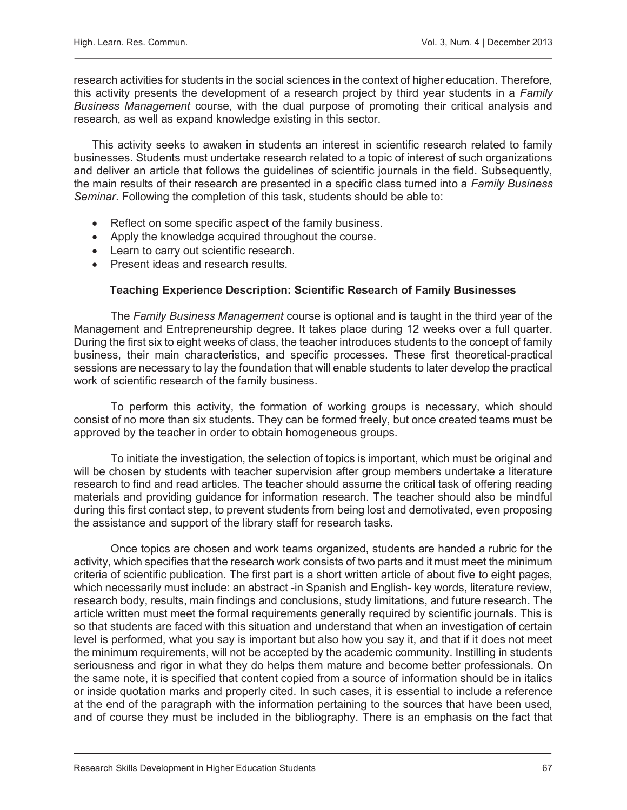research activities for students in the social sciences in the context of higher education. Therefore, this activity presents the development of a research project by third year students in a *Family Business Management* course, with the dual purpose of promoting their critical analysis and research, as well as expand knowledge existing in this sector.

This activity seeks to awaken in students an interest in scientific research related to family businesses. Students must undertake research related to a topic of interest of such organizations and deliver an article that follows the guidelines of scientific journals in the field. Subsequently, the main results of their research are presented in a specific class turned into a *Family Business Seminar*. Following the completion of this task, students should be able to:

- Reflect on some specific aspect of the family business.
- Apply the knowledge acquired throughout the course.
- Learn to carry out scientific research.
- Present ideas and research results.

#### Teaching Experience Description: Scientific Research of Family Businesses

The *Family Business Management* course is optional and is taught in the third year of the Management and Entrepreneurship degree. It takes place during 12 weeks over a full quarter. During the first six to eight weeks of class, the teacher introduces students to the concept of family business, their main characteristics, and specific processes. These first theoretical-practical sessions are necessary to lay the foundation that will enable students to later develop the practical work of scientific research of the family business.

To perform this activity, the formation of working groups is necessary, which should consist of no more than six students. They can be formed freely, but once created teams must be approved by the teacher in order to obtain homogeneous groups.

To initiate the investigation, the selection of topics is important, which must be original and will be chosen by students with teacher supervision after group members undertake a literature research to find and read articles. The teacher should assume the critical task of offering reading materials and providing guidance for information research. The teacher should also be mindful during this first contact step, to prevent students from being lost and demotivated, even proposing the assistance and support of the library staff for research tasks.

Once topics are chosen and work teams organized, students are handed a rubric for the activity, which specifies that the research work consists of two parts and it must meet the minimum criteria of scientific publication. The first part is a short written article of about five to eight pages, which necessarily must include: an abstract -in Spanish and English- key words, literature review, research body, results, main findings and conclusions, study limitations, and future research. The article written must meet the formal requirements generally required by scientific journals. This is so that students are faced with this situation and understand that when an investigation of certain level is performed, what you say is important but also how you say it, and that if it does not meet the minimum requirements, will not be accepted by the academic community. Instilling in students seriousness and rigor in what they do helps them mature and become better professionals. On the same note, it is specified that content copied from a source of information should be in italics or inside quotation marks and properly cited. In such cases, it is essential to include a reference at the end of the paragraph with the information pertaining to the sources that have been used, and of course they must be included in the bibliography. There is an emphasis on the fact that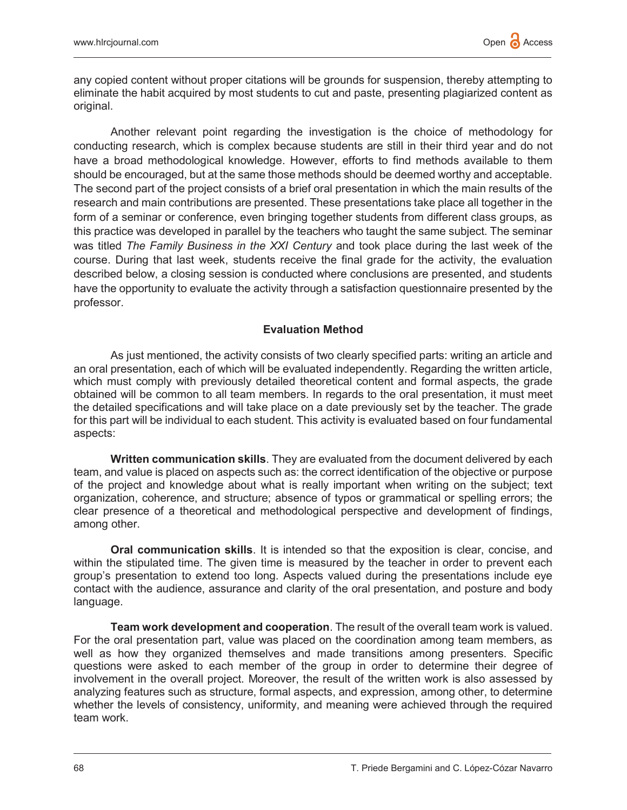any copied content without proper citations will be grounds for suspension, thereby attempting to eliminate the habit acquired by most students to cut and paste, presenting plagiarized content as original.

Another relevant point regarding the investigation is the choice of methodology for conducting research, which is complex because students are still in their third year and do not have a broad methodological knowledge. However, efforts to find methods available to them should be encouraged, but at the same those methods should be deemed worthy and acceptable. The second part of the project consists of a brief oral presentation in which the main results of the research and main contributions are presented. These presentations take place all together in the form of a seminar or conference, even bringing together students from different class groups, as this practice was developed in parallel by the teachers who taught the same subject. The seminar was titled *The Family Business in the XXI Century* and took place during the last week of the course. During that last week, students receive the final grade for the activity, the evaluation described below, a closing session is conducted where conclusions are presented, and students have the opportunity to evaluate the activity through a satisfaction questionnaire presented by the professor.

# Evaluation Method

As just mentioned, the activity consists of two clearly specified parts: writing an article and an oral presentation, each of which will be evaluated independently. Regarding the written article, which must comply with previously detailed theoretical content and formal aspects, the grade obtained will be common to all team members. In regards to the oral presentation, it must meet the detailed specifications and will take place on a date previously set by the teacher. The grade for this part will be individual to each student. This activity is evaluated based on four fundamental aspects:

**Written communication skills**. They are evaluated from the document delivered by each team, and value is placed on aspects such as: the correct identification of the objective or purpose of the project and knowledge about what is really important when writing on the subject; text organization, coherence, and structure; absence of typos or grammatical or spelling errors; the clear presence of a theoretical and methodological perspective and development of findings, among other.

**Oral communication skills**. It is intended so that the exposition is clear, concise, and within the stipulated time. The given time is measured by the teacher in order to prevent each group's presentation to extend too long. Aspects valued during the presentations include eye contact with the audience, assurance and clarity of the oral presentation, and posture and body language.

Team work development and cooperation. The result of the overall team work is valued. For the oral presentation part, value was placed on the coordination among team members, as well as how they organized themselves and made transitions among presenters. Specific questions were asked to each member of the group in order to determine their degree of involvement in the overall project. Moreover, the result of the written work is also assessed by analyzing features such as structure, formal aspects, and expression, among other, to determine whether the levels of consistency, uniformity, and meaning were achieved through the required team work.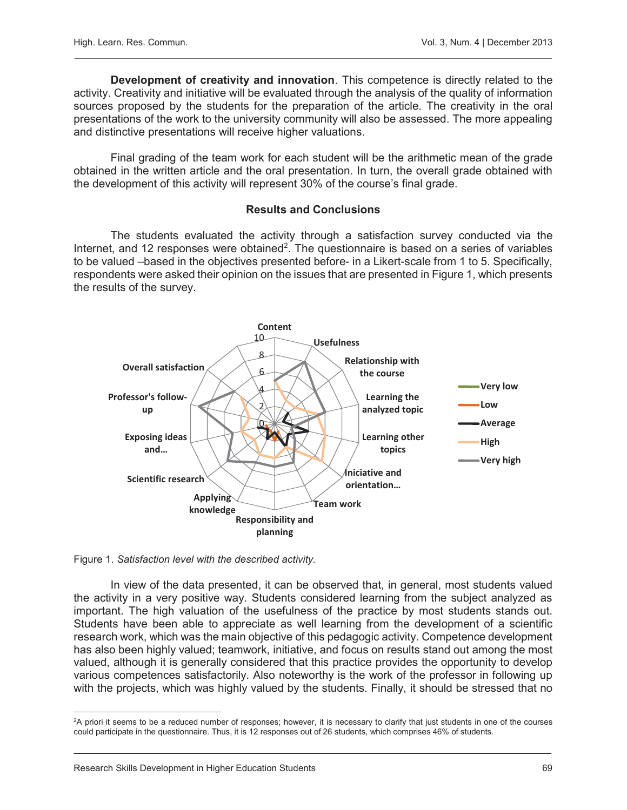Development of creativity and innovation. This competence is directly related to the activity. Creativity and initiative will be evaluated through the analysis of the quality of information sources proposed by the students for the preparation of the article. The creativity in the oral presentations of the work to the university community will also be assessed. The more appealing and distinctive presentations will receive higher valuations.

Final grading of the team work for each student will be the arithmetic mean of the grade obtained in the written article and the oral presentation. In turn, the overall grade obtained with the development of this activity will represent 30% of the course's final grade.

## Results and Conclusions

The students evaluated the activity through a satisfaction survey conducted via the Internet, and 12 responses were obtained<sup>2</sup>. The questionnaire is based on a series of variables to be valued –based in the objectives presented before- in a Likert-scale from 1 to 5. Specifically, respondents were asked their opinion on the issues that are presented in Figure 1, which presents the results of the survey.



Figure 1. *Satisfaction level with the described activity.* 

In view of the data presented, it can be observed that, in general, most students valued the activity in a very positive way. Students considered learning from the subject analyzed as important. The high valuation of the usefulness of the practice by most students stands out. Students have been able to appreciate as well learning from the development of a scientific research work, which was the main objective of this pedagogic activity. Competence development has also been highly valued; teamwork, initiative, and focus on results stand out among the most valued, although it is generally considered that this practice provides the opportunity to develop various competences satisfactorily. Also noteworthy is the work of the professor in following up with the projects, which was highly valued by the students. Finally, it should be stressed that no

 2 A priori it seems to be a reduced number of responses; however, it is necessary to clarify that just students in one of the courses could participate in the questionnaire. Thus, it is 12 responses out of 26 students, which comprises 46% of students.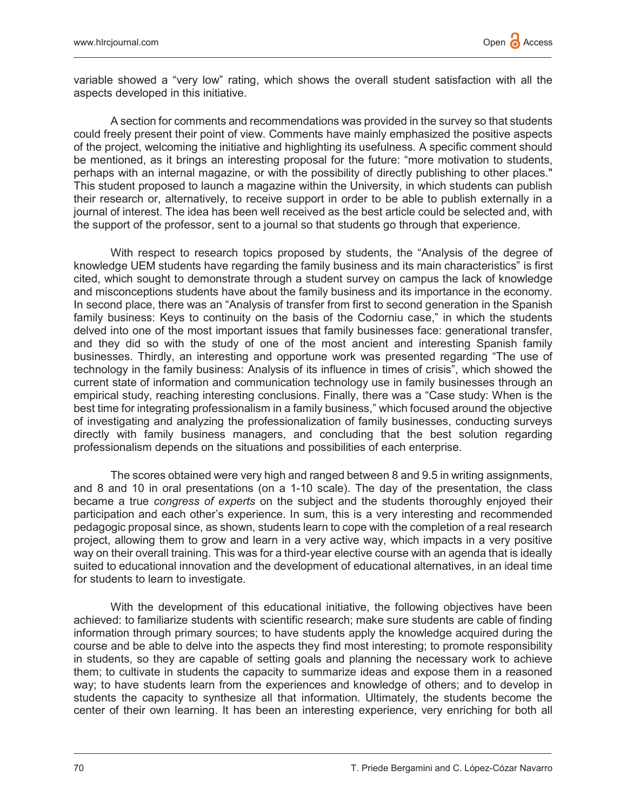variable showed a "very low" rating, which shows the overall student satisfaction with all the aspects developed in this initiative.

A section for comments and recommendations was provided in the survey so that students could freely present their point of view. Comments have mainly emphasized the positive aspects of the project, welcoming the initiative and highlighting its usefulness. A specific comment should be mentioned, as it brings an interesting proposal for the future: "more motivation to students, perhaps with an internal magazine, or with the possibility of directly publishing to other places." This student proposed to launch a magazine within the University, in which students can publish their research or, alternatively, to receive support in order to be able to publish externally in a journal of interest. The idea has been well received as the best article could be selected and, with the support of the professor, sent to a journal so that students go through that experience.

 With respect to research topics proposed by students, the "Analysis of the degree of knowledge UEM students have regarding the family business and its main characteristics" is first cited, which sought to demonstrate through a student survey on campus the lack of knowledge and misconceptions students have about the family business and its importance in the economy. In second place, there was an "Analysis of transfer from first to second generation in the Spanish family business: Keys to continuity on the basis of the Codorniu case," in which the students delved into one of the most important issues that family businesses face: generational transfer, and they did so with the study of one of the most ancient and interesting Spanish family businesses. Thirdly, an interesting and opportune work was presented regarding "The use of technology in the family business: Analysis of its influence in times of crisis", which showed the current state of information and communication technology use in family businesses through an empirical study, reaching interesting conclusions. Finally, there was a "Case study: When is the best time for integrating professionalism in a family business," which focused around the objective of investigating and analyzing the professionalization of family businesses, conducting surveys directly with family business managers, and concluding that the best solution regarding professionalism depends on the situations and possibilities of each enterprise.

The scores obtained were very high and ranged between 8 and 9.5 in writing assignments, and 8 and 10 in oral presentations (on a 1-10 scale). The day of the presentation, the class became a true *congress of experts* on the subject and the students thoroughly enjoyed their participation and each other's experience. In sum, this is a very interesting and recommended pedagogic proposal since, as shown, students learn to cope with the completion of a real research project, allowing them to grow and learn in a very active way, which impacts in a very positive way on their overall training. This was for a third-year elective course with an agenda that is ideally suited to educational innovation and the development of educational alternatives, in an ideal time for students to learn to investigate.

With the development of this educational initiative, the following objectives have been achieved: to familiarize students with scientific research; make sure students are cable of finding information through primary sources; to have students apply the knowledge acquired during the course and be able to delve into the aspects they find most interesting; to promote responsibility in students, so they are capable of setting goals and planning the necessary work to achieve them; to cultivate in students the capacity to summarize ideas and expose them in a reasoned way; to have students learn from the experiences and knowledge of others; and to develop in students the capacity to synthesize all that information. Ultimately, the students become the center of their own learning. It has been an interesting experience, very enriching for both all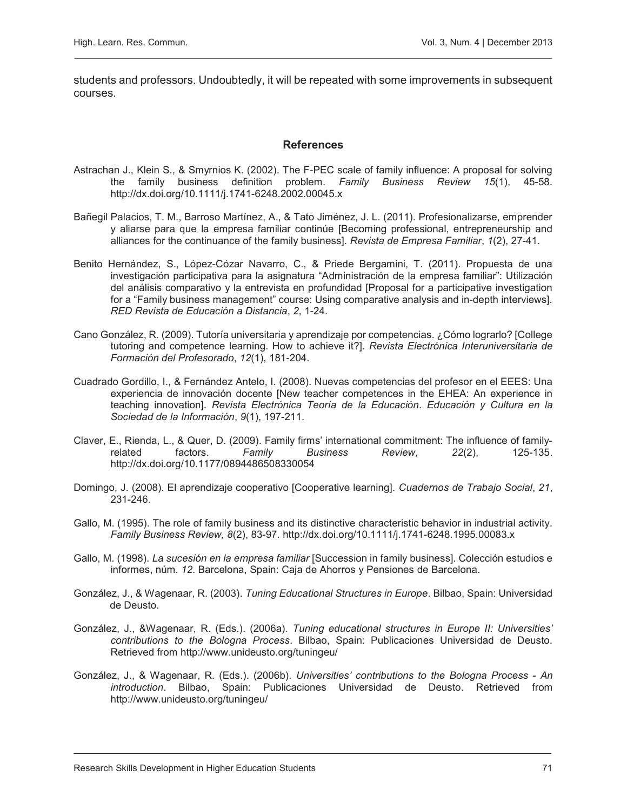students and professors. Undoubtedly, it will be repeated with some improvements in subsequent courses.

#### **References**

- Astrachan J., Klein S., & Smyrnios K. (2002). The F-PEC scale of family influence: A proposal for solving the family business definition problem. *Family Business Review 15*(1), 45-58. http://dx.doi.org/10.1111/j.1741-6248.2002.00045.x
- Bañegil Palacios, T. M., Barroso Martínez, A., & Tato Jiménez, J. L. (2011). Profesionalizarse, emprender y aliarse para que la empresa familiar continúe [Becoming professional, entrepreneurship and alliances for the continuance of the family business]. *Revista de Empresa Familiar*, *1*(2), 27-41.
- Benito Hernández, S., López-Cózar Navarro, C., & Priede Bergamini, T. (2011). Propuesta de una investigación participativa para la asignatura "Administración de la empresa familiar": Utilización del análisis comparativo y la entrevista en profundidad [Proposal for a participative investigation for a "Family business management" course: Using comparative analysis and in-depth interviews]. *RED Revista de Educación a Distancia*, *2*, 1-24.
- Cano González, R. (2009). Tutoría universitaria y aprendizaje por competencias. ¿Cómo lograrlo? [College tutoring and competence learning. How to achieve it?]. *Revista Electrónica Interuniversitaria de Formación del Profesorado*, *12*(1), 181-204.
- Cuadrado Gordillo, I., & Fernández Antelo, I. (2008). Nuevas competencias del profesor en el EEES: Una experiencia de innovación docente [New teacher competences in the EHEA: An experience in teaching innovation]. *Revista Electrónica Teoría de la Educación*. *Educación y Cultura en la Sociedad de la Información*, *9*(1), 197-211.
- Claver, E., Rienda, L., & Quer, D. (2009). Family firms' international commitment: The influence of familyrelated factors. *Family Business Review*, *22*(2), 125-135. http://dx.doi.org/10.1177/0894486508330054
- Domingo, J. (2008). El aprendizaje cooperativo [Cooperative learning]. *Cuadernos de Trabajo Social*, *21*, 231-246.
- Gallo, M. (1995). The role of family business and its distinctive characteristic behavior in industrial activity. *Family Business Review, 8*(2), 83-97. http://dx.doi.org/10.1111/j.1741-6248.1995.00083.x
- Gallo, M. (1998). *La sucesión en la empresa familiar* [Succession in family business]. Colección estudios e informes, núm. *12*. Barcelona, Spain: Caja de Ahorros y Pensiones de Barcelona.
- González, J., & Wagenaar, R. (2003). *Tuning Educational Structures in Europe*. Bilbao, Spain: Universidad de Deusto.
- González, J., &Wagenaar, R. (Eds.). (2006a). *Tuning educational structures in Europe II: Universities' contributions to the Bologna Process*. Bilbao, Spain: Publicaciones Universidad de Deusto. Retrieved from http://www.unideusto.org/tuningeu/
- González, J., & Wagenaar, R. (Eds.). (2006b). *Universities' contributions to the Bologna Process An introduction*. Bilbao, Spain: Publicaciones Universidad de Deusto. Retrieved from http://www.unideusto.org/tuningeu/